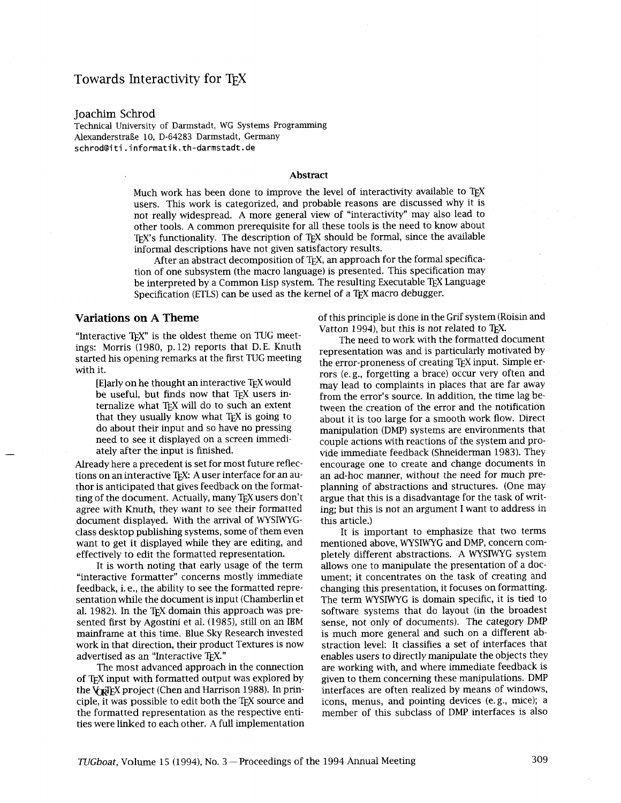# Towards Interactivity for T<sub>F</sub>X

Joachim Schrod

Technical University of Darmstadt, WG Systems Programming Alexanderstrde 10, D-64283 Darmstadt, Germany schrod@iti.inforrnatik.th-darrnstadt.de

#### **Abstract**

Much work has been done to improve the level of interactivity available to TEX users. This work is categorized, and probable reasons are discussed why it is not really widespread. A more general view of "interactivity" may also lead to other tools. A common prerequisite for all these tools is the need to know about TEX's functionality. The description of TEX should be formal, since the available lnformal descriptions have not given satisfactory results.

After an abstract decomposition of TEX, an approach for the formal specification of one subsystem (the macro language) is presented. This specification may be interpreted by a Common Lisp system. The resulting Executable TEX Language Specification (ETLS) can be used as the kernel of a TEX macro debugger.

"Interactive T<sub>EX</sub>" is the oldest theme on TUG meet-<br>
ings: Morris (1980, p. 12) reports that D.E. Knuth<br>
started his opening remarks at the first TUG meeting<br>
with it.

do about their input and so have no pressing need to see it displayed on a screen immediately after the input is finished.

Already here a precedent is set for most future reflections on an interactive TFX: A user interface for an author is anticipated that gives feedback on the formatting of the document. Actually, many TEX users don't agree with Knuth, they want to see their formatted document displayed. With the arrival of WYSIWYGclass desktop publishing systems, some of them even want to get it displayed while they are editing, and effectively to edit the formatted representation.

It is worth noting that early usage of the term "interactive formatter" concerns mostly immediate feedback, i. e., the ability to see the formatted representation while the document is input (Chamberlin et al. 1982). In the T<sub>F</sub>X domain this approach was presented first by Agostini et al. (1985), still on an IBM mainframe at this time. Blue Sky Research invested work in that direction, their product Textures is now advertised as an "Interactive TEX."

The most advanced approach in the connection of TFX input with formatted output was explored by the  $V_{\text{TR}}$  project (Chen and Harrison 1988). In principle, it was possible to edit both the TEX source and the formatted representation as the respective entities were linked to each other. A full implementation

**Variations on A Theme** of this principle is done in the Grif system (Roisin and Vatton 1994), but this is not related to T<sub>E</sub>X.

rors (e.g., forgetting a brace) occur very often and [E]arly on he thought an interactive TEX would may lead to complaints in places that are far away be useful, but finds now that TEX users in-<br>from the error's source. In addition, the time lag bebe useful, but finds now that T<sub>E</sub>X users in-<br>ternalize what T<sub>E</sub>X will do to such an extent<br>tween the creation of the error and the notification ternalize what T<sub>E</sub>X will do to such an extent tween the creation of the error and the notification that they usually know what T<sub>E</sub>X is going to  $\frac{1}{2}$  about it is too large for a smooth work flow. Direct about it is too large for a smooth work flow. Direct manipulation (DMP) systems are environments that couple actions with reactions of the system and provide immediate feedback (Shneiderman 1983). They encourage one to create and change documents in an ad-hoc manner, without the need for much preplanning of abstractions and structures. (One may argue that this is a disadvantage for the task of writing; but this is not an argument I want to address in this article.)

> It is important to emphasize that two terms mentioned above, WYSIWYG and DMP, concern completely different abstractions. A WYSIWYG system allows one to manipulate the presentation of a document; it concentrates on the task of creating and changing this presentation, it focuses on formatting. The term WYSIWYG is domain specific, it is tied to software systems that do layout (in the broadest sense, not only of documents). The category DMP is much more general and such on a different abstraction level: It classifies a set of interfaces that enables users to directly manipulate the objects they are working with, and where immediate feedback is given to them concerning these manipulations. DMP interfaces are often realized by means of windows, icons, menus, and pointing devices (e.g., mice); a member of this subclass of DMP interfaces is also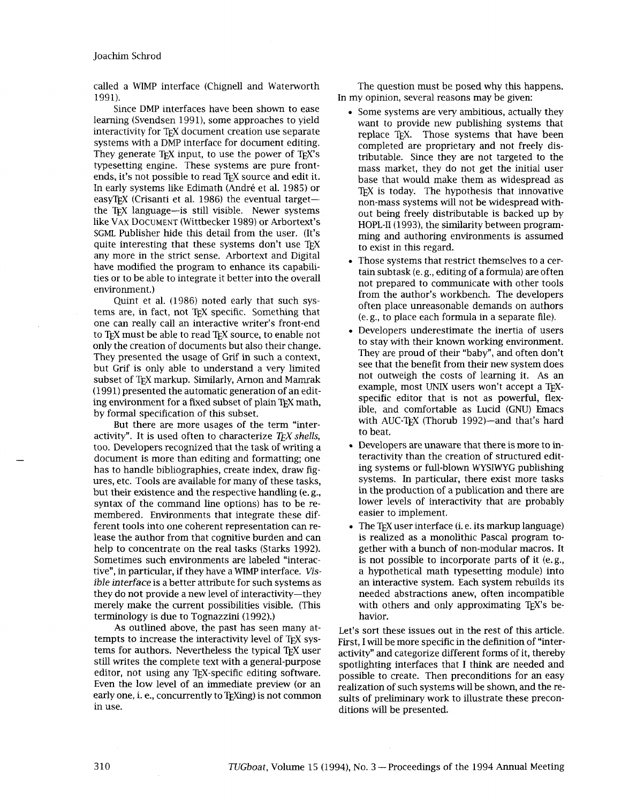called a WIMP interface (Chignell and Waterworth 1991).

Since DMP interfaces have been shown to ease learning (Svendsen 1991), some approaches to yield interactivity for T<sub>F</sub>X document creation use separate systems with a DMP interface for document editing. They generate TEX input, to use the power of TEX's typesetting engine. These systems are pure frontends, it's not possible to read TFX source and edit it. In early systems like Edimath (Andre et al. 1985) or easyT<sub>F</sub>X (Crisanti et al. 1986) the eventual target $$ the TEX language-is still visible. Newer systems like VAX DOCUMENT (Wittbecker 1989) or Arbortext's SGML Publisher hide this detail from the user. (It's quite interesting that these systems don't use TFX any more in the strict sense. Arbortext and Digital have modified the program to enhance its capabilities or to be able to integrate it better into the overall environment.)

Quint et al. (1986) noted early that such systems are, in fact, not TEX specific. Something that one can really call an interactive writer's front-end to T<sub>F</sub>X must be able to read T<sub>F</sub>X source, to enable not only the creation of documents but also their change. They presented the usage of Grif in such a context, but Grif is only able to understand a very limited subset of TEX markup. Similarly, Arnon and Mamrak (1991) presented the automatic generation of an editing environment for a fixed subset of plain TEX math, by formal specification of this subset.

But there are more usages of the term "interactivity". It is used often to characterize *TEX shells,*  too. Developers recognized that the task of writing a document is more than editing and formatting; one has to handle bibliographies, create index, draw figures, etc. Tools are available for many of these tasks, but their existence and the respective handling (e. g., syntax of the command line options) has to be remembered. Environments that integrate these different tools into one coherent representation can release the author from that cognitive burden and can help to concentrate on the real tasks (Starks 1992). Sometimes such environments are labeled "interactive", in particular, if they have a WIMP interface. **Vis**ible interface is a better attribute for such systems as they do not provide a new level of interactivity-they merely make the current possibilities visible. (This terminology is due to Tognazzini (1992).)

As outlined above, the past has seen many attempts to increase the interactivity level of T<sub>FX</sub> systems for authors. Nevertheless the typical TEX user still writes the complete text with a general-purpose editor, not using any TEX-specific editing software. Even the low level of an immediate preview (or an early one, i. e., concurrently to TEXing) is not common in use.

The question must be posed why this happens. In my opinion, several reasons may be given:

- Some systems are very ambitious, actually they want to provide new publishing systems that replace TFX. Those systems that have been completed are proprietary and not freely distributable. Since they are not targeted to the mass market, they do not get the initial user base that would make them as widespread as T<sub>E</sub>X is today. The hypothesis that innovative non-mass systems will not be widespread without being freely distributable is backed up by HOPL-II (1993), the similarity between programming and authoring environments is assumed to exist in this regard.
- Those systems that restrict themselves to a certain subtask (e. g., editing of a formula) are often not prepared to communicate with other tools from the author's workbench. The developers often place unreasonable demands on authors (e. g., to place each formula in a separate file).
- Developers underestimate the inertia of users to stay with their known working environment. They are proud of their "baby", and often don't see that the benefit from their new system does not outweigh the costs of learning it. As an example, most UNIX users won't accept a TFXspecific editor that is not as powerful, flexible, and comfortable as Lucid (GNU) Emacs with AUC-TEX (Thorub 1992)-and that's hard to beat.
- Developers are unaware that there is more to interactivity than the creation of structured editing systems or full-blown WYSIWYG publishing systems. In particular, there exist more tasks in the production of a publication and there are lower levels of interactivity that are probably easier to implement.
- $\bullet$  The T<sub>F</sub>X user interface (i. e. its markup language) is realized as a monolithic Pascal program together with a bunch of non-modular macros. It is not possible to incorporate parts of it (e.g., a hypothetical math typesetting module) into an interactive system. Each system rebudds its needed abstractions anew, often incompatible with others and only approximating TEX's behavior.

Let's sort these issues out in the rest of this article. First, I will be more specific in the definition of "interactivity" and categorize different forms of it, thereby spotlighting interfaces that I think are needed and possible to create. Then preconditions for an easy realization of such systems wdl be shown, and the results of preliminary work to illustrate these preconditions will be presented.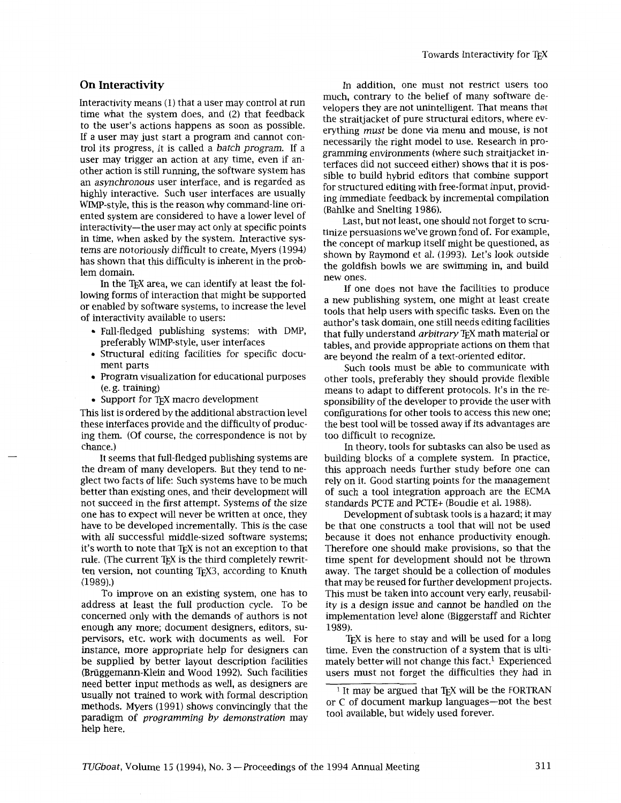Interactivity means (1) that a user may control at run time what the system does, and *(2)* that feedback to the user's actions happens as soon as possible. If a user may just start a program and cannot control its progress, it is called a batch program. If a user may trigger an action at any time, even if another action is still running, the software system has an asynchronous user interface, and is regarded as highly interactive. Such user interfaces are usually WIMP-style, this is the reason why command-line oriented system are considered to have a lower level of interactivity-the user may act only at specific points in time, when asked by the system. Interactive systems are notoriously difficult to create, Myers (1994) has shown that this difficulty is inherent in the problem domain.

In the TEX area, we can identify at least the following forms of interaction that might be supported or enabled by software systems, to increase the level of interactivity available to users:

- Full-fledged publishing systems; with DMP, preferably WIMP-style, user interfaces
- **a** Structural editing facilities for specific document parts
- Program visualization for educational purposes (e. g. training)
- Support for TEX macro development

This list is ordered by the additional abstraction level these interfaces provide and the difficulty of producing them. (Of course, the correspondence is not by chance.)

It seems that full-fledged publishing systems are the dream of many developers. But they tend to neglect two facts of life: Such systems have to be much better than existing ones, and their development will not succeed in the first attempt. Systems of the size one has to expect will never be written at once, they have to be developed incrementally. This is the case with all successful middle-sized software systems; it's worth to note that T<sub>E</sub>X is not an exception to that rule. (The current T<sub>F</sub>X is the third completely rewritten version, not counting TFX3, according to Knuth  $(1989).$ 

To improve on an existing system, one has to address at least the full production cycle. To be concerned only with the demands of authors is not enough any more; document designers, editors, supervisors, etc. work with documents as well. For instance, more appropriate help for designers can be supplied by better layout description facilities (Briiggemann-Klein and Wood 1992). Such facilities need better input methods as well, as designers are usually not trained to work with formal description methods. Myers (1991) shows convincingly that the paradigm of programming by demonstration may help here.

**On Interactivity On Interactivity In addition, one must not restrict users too** much, contrary to the belief of many software developers they are not unintelligent. That means that the straitjacket of pure structural editors, where everything must be done via menu and mouse, is not necessarily the right model to use. Research in programming environments (where such straitjacket interfaces did not succeed either) shows that it is possible to build hybrid editors that combine support for structured editing with free-format input, providing immediate feedback by incremental compilation (Bahlke and Snelting 1986).

> Last, but not least, one should not forget to scrutinize persuasions we've grown fond of. For example, the concept of markup itself might be questioned, as shown by Raymond et al. (1993). Let's look outside the goldfish bowls we are swimming in, and build new ones.

> If one does not have the facilities to produce a new publishing system, one might at least create tools that help users with specific tasks. Even on the author's task domain, one still needs editing facilities that fully understand *arbitrary* T<sub>E</sub>X math material or tables, and provide appropriate actions on them that are beyond the realm of a text-oriented editor.

> Such tools must be able to communicate with other tools, preferably they should provide flexible means to adapt to different protocols. It's in the responsibility of the developer to provide the user with configurations for other tools to access this new one; the best tool will be tossed away if its advantages are too difficult to recognize.

> In theory, tools for subtasks can also be used as building blocks of a complete system. In practice, this approach needs further study before one can rely on it. Good starting points for the management of such a tool integration approach are the ECMA standards PCTE and PCTE+ (Boudie et al. 1988).

> Development of subtask tools is a hazard; it may be that one constructs a tool that will not be used because it does not enhance productivity enough. Therefore one should make provisions, so that the time spent for development should not be thrown away. The target should be a collection of modules that may be reused for further development projects. This must be taken into account very early, reusability is a design issue and cannot be handled on the implementation level alone (Biggerstaff and Richter 1989).

> TEX is here to stay and will be used for a long time. Even the construction of a system that is ultimately better will not change this fact.<sup>1</sup> Experienced users must not forget the difficulties they had in

 $<sup>1</sup>$  It may be argued that T<sub>E</sub>X will be the FORTRAN</sup> or C of document markup languages—not the best tool available, but widely used forever.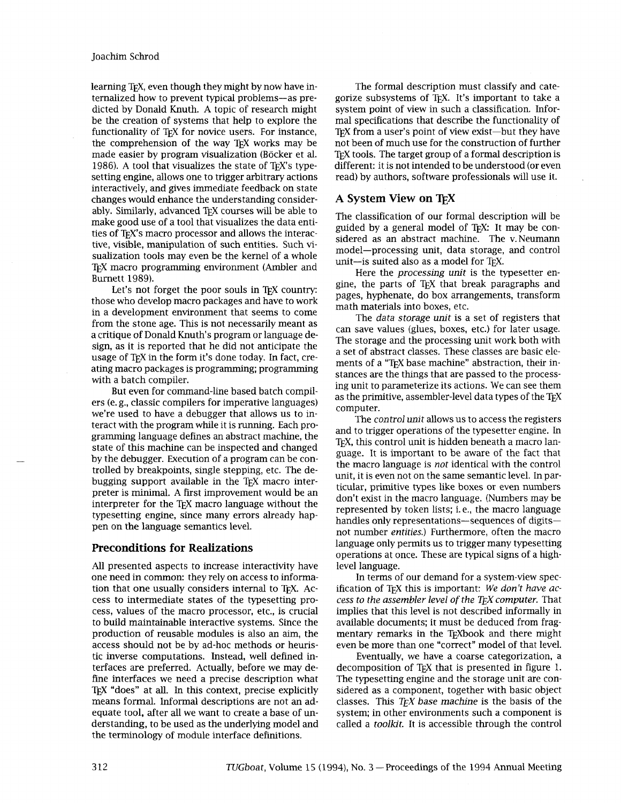learning T<sub>E</sub>X, even though they might by now have internalized how to prevent typical problems-as predicted by Donald Knuth. **A** topic of research might be the creation of systems that help to explore the functionality of T<sub>E</sub>X for novice users. For instance, the comprehension of the way TEX works may be made easier by program visualization (Böcker et al. 1986). **A** tool that visualizes the state of TEX'S typesetting engine, allows one to trigger arbitrary actions interactively, and gives immediate feedback on state changes would enhance the understanding considerably. Similarly, advanced TEX courses will be able to make good use of a tool that visualizes the data entities of T<sub>E</sub>X's macro processor and allows the interactive, visible, manipulation of such entities. Such visualization tools may even be the kernel of a whole TEX macro programming environment (Ambler and Burnett 1989).

Let's not forget the poor souls in TEX country: those who develop macro packages and have to work in a development environment that seems to come from the stone age. This is not necessarily meant as a critique of Donald Knuth's program or language design, as it is reported that he did not anticipate the usage of TEX in the form it's done today. In fact, creating macro packages is programming; programming with a batch compiler.

But even for command-line based batch compilers (e. g., classic compilers for imperative languages) we're used to have a debugger that allows us to interact with the program while it is running. Each programming language defines an abstract machine, the state of this machine can be inspected and changed by the debugger. Execution of a program can be controlled by breakpoints, single stepping, etc. The debugging support available in the T<sub>EX</sub> macro interpreter is minimal. **A** first improvement would be an interpreter for the T<sub>F</sub>X macro language without the typesetting engine, since many errors already happen on the language semantics level.

### **Preconditions for Realizations**

All presented aspects to increase interactivity have one need in common: they rely on access to information that one usually considers internal to TEX. Access to intermediate states of the typesetting process, values of the macro processor, etc., is crucial to build maintainable interactive systems. Since the production of reusable modules is also an aim, the access should not be by ad-hoc methods or heuristic inverse computations. Instead, well defined interfaces are preferred. Actually, before we may define interfaces we need a precise description what TEX "does" at all. In ths context, precise explicitly means formal. Informal descriptions are not an adequate tool, after all we want to create a base of understanding, to be used as the underlying model and the terminology of module interface definitions.

The formal description must classify and categorize subsystems of TEX. It's important to take a system point of view in such a classification. Informal specifications that describe the functionality of T<sub>F</sub>X from a user's point of view exist-but they have not been of much use for the construction of further T<sub>EX</sub> tools. The target group of a formal description is different: it is not intended to be understood (or even read) by authors, software professionals will use it.

# **A System View on TEX**

The classification of our formal description will be guided by a general model of T<sub>F</sub>X: It may be considered as an abstract machine. The v. Neumann model-processing unit, data storage, and control unit-is suited also as a model for TEX.

Here the *processing unit* is the typesetter engine, the parts of TEX that break paragraphs and pages, hyphenate, do box arrangements, transform math materials into boxes, etc.

The *data storage unit* is a set of registers that can save values (glues, boxes, etc.) for later usage. The storage and the processing unit work both with a set of abstract classes. These classes are basic elements of a "TEX base machine" abstraction, their instances are the things that are passed to the processing unit to parameterize its actions. We can see them as the primitive, assembler-level data types of the TEX computer.

The *control unit* allows us to access the registers and to trigger operations of the typesetter engine. In T<sub>EX</sub>, this control unit is hidden beneath a macro language. It is important to be aware of the fact that the macro language is *not* identical with the control unit, it is even not on the same semantic level. In particular, primitive types like boxes or even numbers don't exist in the macro language. (Numbers may be represented by token lists; i. e., the macro language handles only representations-sequences of digitsnot number *entities.)* Furthermore, often the macro language only permits us to trigger many typesetting operations at once. These are typical signs of a highlevel language.

In terms of our demand for a system-view specification of T<sub>F</sub>X this is important: We don't have ac*cess to the assembler level of the TEX computer.* That implies that this level is not described informally in available documents; it must be deduced from fragmentary remarks in the T<sub>E</sub>Xbook and there might even be more than one "correct" model of that level.

Eventually, we have a coarse categorization, a decomposition of TEX that is presented in figure 1. The typesetting engine and the storage unit are considered as a component, together with basic object classes. This *TEX base machine* is the basis of the system; in other environments such a component is called a *toolkit.* It is accessible through the control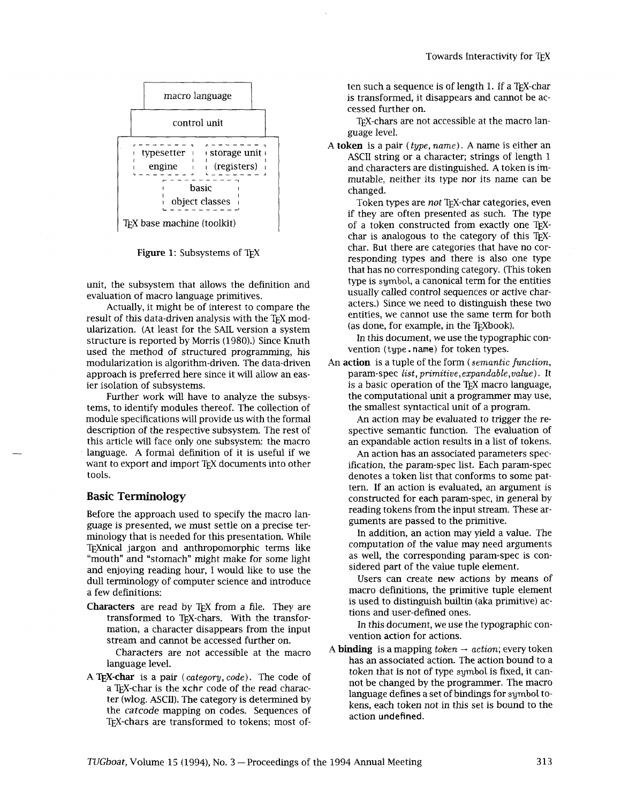

Figure 1: Subsystems of T<sub>EX</sub>

unit, the subsystem that allows the definition and evaluation of macro language primitives.

Actually, it might be of interest to compare the result of this data-driven analysis with the TEX modularization. (At least for the SAIL version a system structure is reported by Morris (1980).) Since Knuth used the method of structured programming, his modularization is algorithm-driven. The data-driven approach is preferred here since it will allow an easier isolation of subsystems.

Further work will have to analyze the subsystems, to identify modules thereof. The collection of module specifications will provide us with the formal description of the respective subsystem. The rest of this article will face only one subsystem: the macro language. A formal definition of it is useful if we want to export and import TEX documents into other tools.

### **Basic Terminology**

Before the approach used to specify the macro language is presented, we must settle on a precise terminology that is needed for this presentation. While TEXnical jargon and anthropomorphic terms like "mouth" and "stomach" might make for some light and enjoying reading hour, I would like to use the dull terminology of computer science and introduce a few definitions:

Characters are read by TEX from a file. They are transformed to TEX-chars. With the transformation, a character disappears from the input stream and cannot be accessed further on.

Characters are not accessible at the macro language level.

A T<sub>EX</sub>-char is a pair (*category*, *code*). The code of a TFX-char is the xchr code of the read character (wlog. ASCII). The category is determined by the catcode mapping on codes. Sequences of TEX-chars are transformed to tokens; most of-

ten such a sequence is of length 1. If a TFX-char is transformed, it disappears and cannot be accessed further on.

TFX-chars are not accessible at the macro language level.

A token is a pair (type, name). A name is either an ASCII string or a character; strings of length 1 and characters are distinguished. **A** token is immutable, neither its type nor its name can be changed.

Token types are not TEX-char categories, even if they are often presented as such. The type of a token constructed from exactly one TEXchar is analogous to the category of this TFXchar. But there are categories that have no corresponding types and there is also one type that has no corresponding category. (This token type is symbol, a canonical term for the entities usually called control sequences or active characters.) Since we need to distinguish these two entities, we cannot use the same term for both  $(as done, for example, in the TrXbook).$ 

In this document, we use the typographic convention (type. name) for token types.

An action is a tuple of the form (semantic function, param-spec **list, primitive,expandable,value)** . It is a basic operation of the TFX macro language, the computational unit a programmer may use, the smallest syntactical unit of a program.

An action may be evaluated to trigger the respective semantic function. The evaluation of an expandable action results in a list of tokens.

An action has an associated parameters specification, the param-spec list, Each param-spec denotes a token list that conforms to some pattern. If an action is evaluated, an argument is constructed for each param-spec, in general by reading tokens from the input stream. These arguments are passed to the primitive.

In addition, an action may yield a value. The computation of the value may need arguments as well, the corresponding param-spec is considered part of the value tuple element.

Users can create new actions by means of macro definitions, the primitive tuple element is used to distinguish builtin (aka primitive) actions and user-defined ones.

In this document, we use the typographic convention action for actions.

A **binding** is a mapping  $token \rightarrow action$ ; every token has an associated action. The action bound to a token that is not of type symbol is fixed, it cannot be changed by the programmer. The macro language defines a set of bindings for symbol tokens, each token not in this set is bound to the action undefined.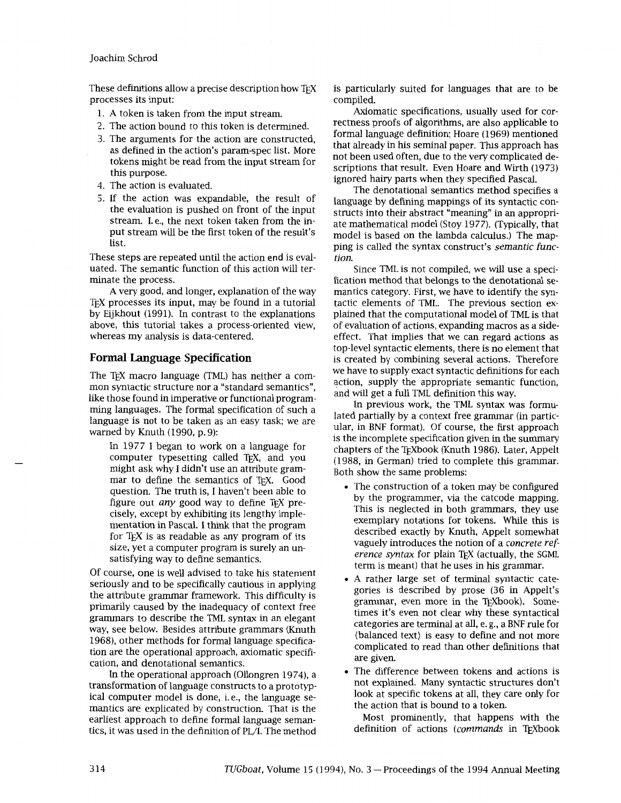These definitions allow a precise description how TFX processes its input:

- 1. A token is taken from the input stream.
- 2. The action bound to this token is determined.
- 3. The arguments for the action are constructed, as defined in the action's param-spec list. More tokens might be read from the input stream for this purpose.
- 4. The action is evaluated.
- 5. If the action was expandable, the result of the evaluation is pushed on front of the input stream. I. e., the next token taken from the input stream will be the first token of the result's list.

These steps are repeated until the action end is evaluated. The semantic function of this action will terminate the process.

A very good, and longer, explanation of the way T<sub>EX</sub> processes its input, may be found in a tutorial by Eijkhout (1991). In contrast to the explanations above, this tutorial takes a process-oriented view, whereas my analysis is data-centered.

## **Formal Language Specification**

The T<sub>F</sub>X macro language (TML) has neither a common syntactic structure nor a "standard semantics", like those found in imperative or functional programming languages. The formal specification of such a language is not to be taken as an easy task; we are warned by Knuth (1990, p. 9):

In 1977 I began to work on a language for computer typesetting called T<sub>F</sub>X, and you might ask why I didn't use an attribute grammar to define the semantics of TEX. Good question. The truth is, I haven't been able to figure out any good way to define TEX precisely, except by exhibiting its lengthy implementation in Pascal. I think that the program for TEX is as readable as any program of its size, yet a computer program is surely an unsatisfying way to define semantics.

Of course, one is well advised to take his statement seriously and to be specifically cautious in applying the attribute grammar framework. This difficulty is primarily caused by the inadequacy of context free grammars to describe the TML syntax in an elegant way, see below. Besides attribute grammars (Knuth 1968), other methods for formal language specification are the operational approach, axiomatic specification, and denotational semantics.

In the operational approach (Ollongren 1974), a transformation of language constructs to a prototypical computer model is done, i.e., the language semantics are explicated by construction. That is the earliest approach to define formal language semantics, it was used in the definition of PL/I. The method is particularly suited for languages that are to be compiled.

Axiomatic specifications, usually used for correctness proofs of algorithms, are also applicable to formal language definition; Hoare (1969) mentioned that already in his seminal paper. This approach has not been used often, due to the very complicated descriptions that result. Even Hoare and Wirth (1973) ignored hairy parts when they specified Pascal.

The denotational semantics method specifies a language by defining mappings of its syntactic constructs into their abstract "meaning" in an appropriate mathematical model (Stoy 1977). (Typically, that model is based on the lambda calculus.) The mapping is called the syntax construct's semantic function.

Since TML is not compiled, we will use a specification method that belongs to the denotational semantics category. First, we have to identify the syntactic elements of TML. The previous section explained that the computational model of TML is that of evaluation of actions, expanding macros as a sideeffect. That implies that we can regard actions as top-level syntactic elements, there is no element that is created by combining several actions. Therefore we have to supply exact syntactic definitions for each action, supply the appropriate semantic function, and will get a full TML definition this way.

In previous work, the TML syntax was formulated partially by a context free grammar (in particular, in BNF format). Of course, the first approach is the incomplete specification given in the summary chapters of the T<sub>F</sub>Xbook (Knuth 1986). Later, Appelt (1988, in German) tried to complete this grammar. Both show the same problems:

- The construction of a token may be configured by the programmer, via the catcode mapping. This is neglected in both grammars, they use exemplary notations for tokens. While this is described exactly by Knuth, Appelt somewhat vaguely introduces the notion of a concrete reference syntax for plain TFX (actually, the SGML term is meant) that he uses in his grammar.
- A rather large set of terminal syntactic categories is described by prose (36 in Appelt's grammar, even more in the TEXbook). Sometimes it's even not clear why these syntactical categories are terminal at all, e. g., a BNF rule for (balanced text) is easy to define and not more complicated to read than other defmtions that are given.
- The difference between tokens and actions is not explained. Many syntactic structures don't look at specific tokens at all, they care only for the action that is bound to a token.

Most prominently, that happens with the definition of actions (commands in TFXbook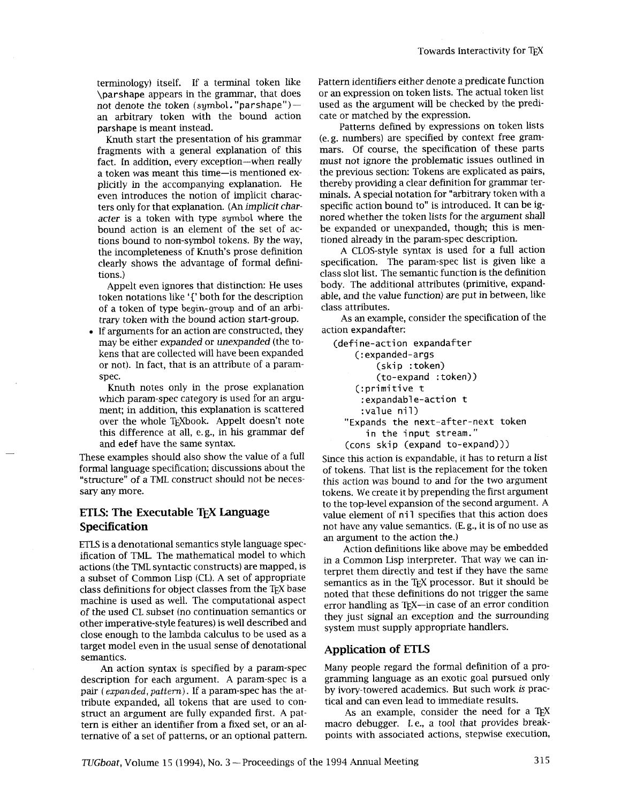terminology) itself. If a terminal token like \parshape appears in the grammar, that does not denote the token (symbol. "parshape")  $$ an arbitrary token with the bound action parshape is meant instead.

Knuth start the presentation of his grammar fragments with a general explanation of this fact. In addition, every exception-when really a token was meant this time-is mentioned explicitly in the accompanying explanation. He even introduces the notion of implicit characters only for that explanation. **(An** implicit character is a token with type symbol where the bound action is an element of the set of actions bound to non-symbol tokens. By the way, the incompleteness of Knuth's prose defimtion clearly shows the advantage of formal defmtions.)

Appelt even ignores that distinction: He uses token notations like **'1'** both for the description of a token of type begin-group and of an arbitrary token with the bound action start-group.

If arguments for an action are constructed, they may be either expanded or unexpanded (the tokens that are collected will have been expanded or not). In fact, that is an attribute of a paramspec.

Knuth notes only in the prose explanation which param-spec category is used for an argument; in addition, this explanation is scattered over the whole T<sub>F</sub>Xbook. Appelt doesn't note this difference at all, e.g., in his grammar def and edef have the same syntax.

These examples should also show the value of a full formal language specification; discussions about the "structure" of a TML construct should not be necessary any more.

# **ETLS: The Executable TEX Language Specification**

ETLS is a denotational semantics style language specification of TML. The mathematical model to which actions (the TML syntactic constructs) are mapped, is a subset of Common Lisp (CL). A set of appropriate class definitions for object classes from the TEX base machine is used as well. The computational aspect of the used CL subset (no continuation semantics or other imperative-style features) is well described and close enough to the lambda calculus to be used as a target model even in the usual sense of denotational semantics.

An action syntax is specified by a param-spec description for each argument. A param-spec is a pair (expanded, pattern). If a param-spec has the attribute expanded, all tokens that are used to construct an argument are fully expanded first. A pattern is either an identifier from a fixed set, or an alternative of a set of patterns, or an optional pattern. Pattern identifiers either denote a predicate function or an expression on token lists. The actual token list used as the argument will be checked by the predicate or matched by the expression.

Patterns defined by expressions on token lists (e. g. numbers) are specified by context free grammars. Of course, the specification of these parts must not ignore the problematic issues outlined in the previous section: Tokens are explicated as pairs, thereby providing a clear definition for grammar terminals. A special notation for "arbitrary token with a specific action bound to" is introduced. It can be ignored whether the token lists for the argument shall be expanded or unexpanded, though; this is mentioned already in the param-spec description.

A CLOS-style syntax is used for a full action specification. The param-spec list is given like a class slot list. The semantic function is the definition body. The additional attributes (primitive, expandable, and the value function) are put in between, like class attributes.

As an example, consider the specification of the action expandafter:

```
(define-action expandafter
    (:expanded-args 
        (skip :token) 
        (to-expand :token)) 
    (:primitive t 
     : expandable-action t
     :value nil) 
  "Expands the next-after-next token 
      in the input stream." 
  (cons skip (expand to-expand)))
```
Since this action is expandable, it has to return a list of tokens. That list is the replacement for the token this action was bound to and for the two argument tokens. We create it by prepending the first argument to the top-level expansion of the second argument. A value element of nil specifies that this action does not have any value semantics. (E. g., it is of no use as an argument to the action the.)

Action definitions like above may be embedded in a Common Lisp interpreter. That way we can interpret them directly and test if they have the same semantics as in the TFX processor. But it should be noted that these defimtions do not trigger the same error handling as  $T_{F}X$ —in case of an error condition they just signal an exception and the surrounding system must supply appropriate handlers.

## **Application of ETLS**

Many people regard the formal definition of a programming language as an exotic goal pursued only by ivory-towered academics. But such work is practical and can even lead to immediate results.

As an example, consider the need for a TEX macro debugger. I. e., a tool that provides breakpoints with associated actions, stepwise execution,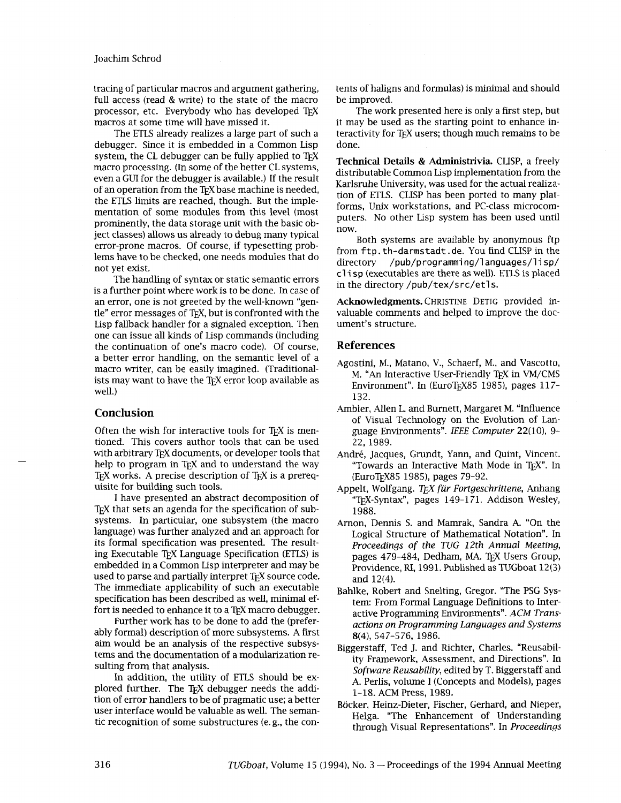tracing of particular macros and argument gathering, full access (read & write) to the state of the macro processor, etc. Everybody who has developed TFX macros at some time will have missed it.

The ETLS already realizes a large part of such a debugger. Since it is embedded in a Common Lisp system, the CL debugger can be fully applied to TrX macro processing. (In some of the better CL systems, even a GUI for the debugger is available.) If the result of an operation from the TEX base machine is needed, the ETLS limits are reached, though. But the implementation of some modules from this level (most prominently, the data storage unit with the basic object classes) allows us already to debug many typical error-prone macros. Of course, if typesetting problems have to be checked, one needs modules that do not yet exist.

The handling of syntax or static semantic errors is a further point where work is to be done. In case of an error, one is not greeted by the well-known "gentle" error messages of TEX, but is confronted with the Lisp fallback handler for a signaled exception. Then one can issue all kinds of Lisp commands (including the continuation of one's macro code). Of course, a better error handling, on the semantic level of a macro writer, can be easily imagined. (Traditionalists may want to have the TEX error loop available as well.)

## **Conclusion**

Often the wish for interactive tools for TEX is mentioned. This covers author tools that can be used with arbitrary TEX documents, or developer tools that help to program in T<sub>E</sub>X and to understand the way TEX works. A precise description of TEX is a prerequisite for building such tools.

I have presented an abstract decomposition of TEX that sets an agenda for the specification of subsystems. In particular, one subsystem (the macro language) was further analyzed and an approach for its formal specification was presented. The resulting Executable TEX Language Specification (ETLS) is embedded in a Common Lisp interpreter and may be used to parse and partially interpret TEX source code. The immediate applicability of such an executable specification has been described as well, minimal effort is needed to enhance it to a T<sub>F</sub>X macro debugger.

Further work has to be done to add the (preferably formal) description of more subsystems. A first aim would be an analysis of the respective subsystems and the documentation of a modularization resulting from that analysis.

In addition, the utility of ETLS should be explored further. The T<sub>F</sub>X debugger needs the addition of error handlers to be of pragmatic use; a better user interface would be valuable as well. The semantic recognition of some substructures (e. g., the contents of haligns and formulas) is minimal and should be improved.

The work presented here is only a first step, but it may be used as the starting point to enhance interactivity for TEX users; though much remains to be done.

Technical Details & Administrivia. CLISP, a freely distributable Common Lisp implementation from the Karlsruhe University, was used for the actual realization of ETLS. CLISP has been ported to many platforms, Unix workstations, and PC-class microcomputers. No other Lisp system has been used until now.

Both systems are available by anonymous ftp from ftp. th-darmstadt . de. You find CLISP in the /pub/programming/languages/lisp/ clisp (executables are there as well). ETLS is placed in the directory /pub/tex/src/etls.

Acknowledgments. CHRISTINE DETIG provided invaluable comments and helped to improve the document's structure.

#### **References**

- Agostini, M., Matano, V., Schaerf, M., and Vascotto, M. **"An** Interactive User-Friendly TEX in VM/CMS Environment". In (EuroTEX85 1985), pages 117-132.
- Ambler, Allen L. and Burnett, Margaret M. "Influence of Visual Technology on the Evolution of Language Environments". *IEEE Computer* 22(10), 9- 22, 1989.
- André, Jacques, Grundt, Yann, and Quint, Vincent. "Towards an Interactive Math Mode in TEX". In (EuroT~X85 1985), pages 79-92.
- Appelt, Wolfgang. *TEX fur Forfgeschrittene,* Anhang "TEX-Syntax", pages 149-171. Addison Wesley, 1988.
- Arnon, Dennis S. and Mamrak, Sandra A. "On the Logical Structure of Mathematical Notation". In *Proceedings of the TUG 12th Annual Meeting,*  pages 479-484, Dedham, MA. TFX Users Group, Providence, **RI,** 1991. Published as TUGboat 12(3) and 12(4).
- Bahlke, Robert and Snelting, Gregor. "The PSG System: From Formal Language Definitions to Interactive Programming Environments". ACM *Transactions on Programming Languages and Systems*  8(4), 547-576, 1986.
- Biggerstaff, Ted J. and Richter, Charles. "Reusability Framework, Assessment, and Directions". In *Software Reusability,* edited by T. Biggerstaff and A. Perlis, volume I (Concepts and Models), pages 1-18. ACM Press, 1989.
- Bocker, Heinz-Dieter, Fischer, Gerhard, and Nieper, Helga. "The Enhancement of Understanding through Visual Representations". In *Proceedings*